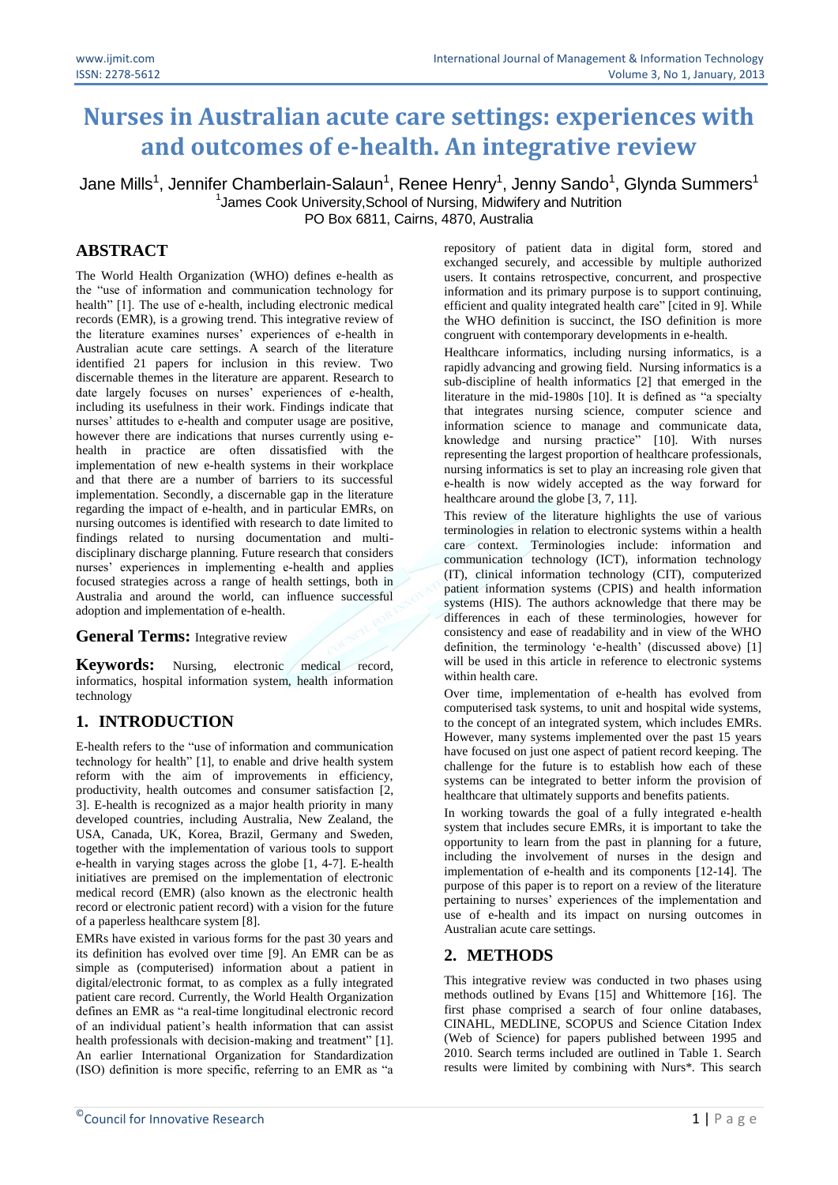# **Nurses in Australian acute care settings: experiences with and outcomes of e-health. An integrative review**

Jane Mills<sup>1</sup>, Jennifer Chamberlain-Salaun<sup>1</sup>, Renee Henry<sup>1</sup>, Jenny Sando<sup>1</sup>, Glynda Summers<sup>1</sup> <sup>1</sup> James Cook University, School of Nursing, Midwifery and Nutrition PO Box 6811, Cairns, 4870, Australia

# **ABSTRACT**

The World Health Organization (WHO) defines e-health as the "use of information and communication technology for health" [1]. The use of e-health, including electronic medical records (EMR), is a growing trend. This integrative review of the literature examines nurses' experiences of e-health in Australian acute care settings. A search of the literature identified 21 papers for inclusion in this review. Two discernable themes in the literature are apparent. Research to date largely focuses on nurses' experiences of e-health, including its usefulness in their work. Findings indicate that nurses' attitudes to e-health and computer usage are positive, however there are indications that nurses currently using ehealth in practice are often dissatisfied with the implementation of new e-health systems in their workplace and that there are a number of barriers to its successful implementation. Secondly, a discernable gap in the literature regarding the impact of e-health, and in particular EMRs, on nursing outcomes is identified with research to date limited to findings related to nursing documentation and multidisciplinary discharge planning. Future research that considers nurses' experiences in implementing e-health and applies focused strategies across a range of health settings, both in Australia and around the world, can influence successful adoption and implementation of e-health.

#### **General Terms:** Integrative review

Keywords: Nursing, electronic medical record, informatics, hospital information system, health information technology

# **1. INTRODUCTION**

E-health refers to the "use of information and communication technology for health" [1], to enable and drive health system reform with the aim of improvements in efficiency, productivity, health outcomes and consumer satisfaction [2, 3]. E-health is recognized as a major health priority in many developed countries, including Australia, New Zealand, the USA, Canada, UK, Korea, Brazil, Germany and Sweden, together with the implementation of various tools to support e-health in varying stages across the globe [1, 4-7]. E-health initiatives are premised on the implementation of electronic medical record (EMR) (also known as the electronic health record or electronic patient record) with a vision for the future of a paperless healthcare system [8].

EMRs have existed in various forms for the past 30 years and its definition has evolved over time [9]. An EMR can be as simple as (computerised) information about a patient in digital/electronic format, to as complex as a fully integrated patient care record. Currently, the World Health Organization defines an EMR as "a real-time longitudinal electronic record of an individual patient's health information that can assist health professionals with decision-making and treatment" [1]. An earlier International Organization for Standardization (ISO) definition is more specific, referring to an EMR as "a repository of patient data in digital form, stored and exchanged securely, and accessible by multiple authorized users. It contains retrospective, concurrent, and prospective information and its primary purpose is to support continuing, efficient and quality integrated health care" [cited in 9]. While the WHO definition is succinct, the ISO definition is more congruent with contemporary developments in e-health.

Healthcare informatics, including nursing informatics, is a rapidly advancing and growing field. Nursing informatics is a sub-discipline of health informatics [2] that emerged in the literature in the mid-1980s [10]. It is defined as "a specialty that integrates nursing science, computer science and information science to manage and communicate data, knowledge and nursing practice" [10]. With nurses representing the largest proportion of healthcare professionals, nursing informatics is set to play an increasing role given that e-health is now widely accepted as the way forward for healthcare around the globe [3, 7, 11].

This review of the literature highlights the use of various terminologies in relation to electronic systems within a health care context. Terminologies include: information and communication technology (ICT), information technology (IT), clinical information technology (CIT), computerized patient information systems (CPIS) and health information systems (HIS). The authors acknowledge that there may be differences in each of these terminologies, however for consistency and ease of readability and in view of the WHO definition, the terminology 'e-health' (discussed above) [1] will be used in this article in reference to electronic systems within health care.

Over time, implementation of e-health has evolved from computerised task systems, to unit and hospital wide systems, to the concept of an integrated system, which includes EMRs. However, many systems implemented over the past 15 years have focused on just one aspect of patient record keeping. The challenge for the future is to establish how each of these systems can be integrated to better inform the provision of healthcare that ultimately supports and benefits patients.

In working towards the goal of a fully integrated e-health system that includes secure EMRs, it is important to take the opportunity to learn from the past in planning for a future, including the involvement of nurses in the design and implementation of e-health and its components [12-14]. The purpose of this paper is to report on a review of the literature pertaining to nurses' experiences of the implementation and use of e-health and its impact on nursing outcomes in Australian acute care settings.

## **2. METHODS**

This integrative review was conducted in two phases using methods outlined by Evans [15] and Whittemore [16]. The first phase comprised a search of four online databases, CINAHL, MEDLINE, SCOPUS and Science Citation Index (Web of Science) for papers published between 1995 and 2010. Search terms included are outlined in Table 1. Search results were limited by combining with Nurs\*. This search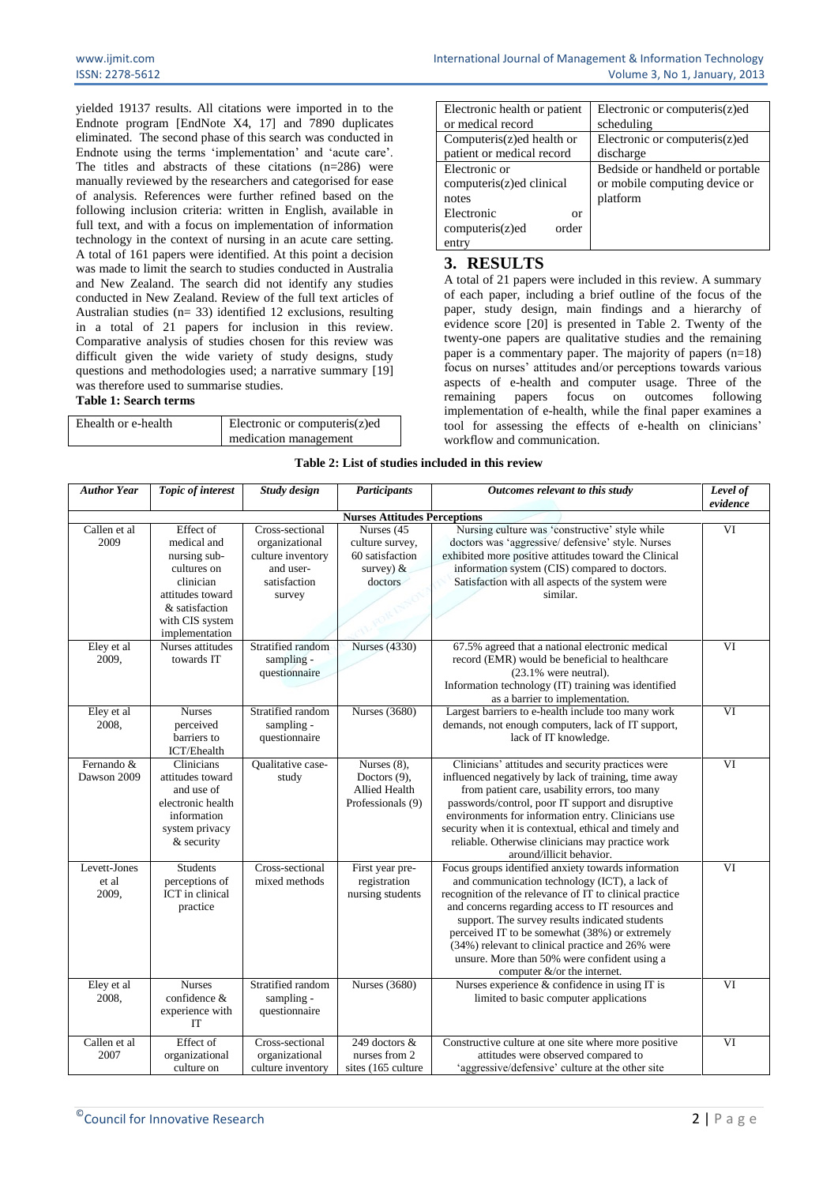yielded 19137 results. All citations were imported in to the Endnote program [EndNote X4, 17] and 7890 duplicates eliminated. The second phase of this search was conducted in Endnote using the terms 'implementation' and 'acute care'. The titles and abstracts of these citations  $(n=286)$  were manually reviewed by the researchers and categorised for ease of analysis. References were further refined based on the following inclusion criteria: written in English, available in full text, and with a focus on implementation of information technology in the context of nursing in an acute care setting. A total of 161 papers were identified. At this point a decision was made to limit the search to studies conducted in Australia and New Zealand. The search did not identify any studies conducted in New Zealand. Review of the full text articles of Australian studies ( $n= 33$ ) identified 12 exclusions, resulting in a total of 21 papers for inclusion in this review. Comparative analysis of studies chosen for this review was difficult given the wide variety of study designs, study questions and methodologies used; a narrative summary [19] was therefore used to summarise studies.

#### **Table 1: Search terms**

| Ehealth or e-health | Electronic or computeris(z)ed |  |  |  |
|---------------------|-------------------------------|--|--|--|
|                     | medication management         |  |  |  |

| Electronic health or patient | Electronic or computeris(z)ed   |
|------------------------------|---------------------------------|
| or medical record            | scheduling                      |
| Computeris(z)ed health or    | Electronic or computeris(z)ed   |
| patient or medical record    | discharge                       |
| Electronic or                | Bedside or handheld or portable |
| computeris(z)ed clinical     | or mobile computing device or   |
| notes                        | platform                        |
| Electronic<br>or             |                                 |
| computeris(z)ed<br>order     |                                 |
| entry                        |                                 |

### **3. RESULTS**

A total of 21 papers were included in this review. A summary of each paper, including a brief outline of the focus of the paper, study design, main findings and a hierarchy of evidence score [20] is presented in Table 2. Twenty of the twenty-one papers are qualitative studies and the remaining paper is a commentary paper. The majority of papers  $(n=18)$ focus on nurses' attitudes and/or perceptions towards various aspects of e-health and computer usage. Three of the remaining papers focus on outcomes following remaining papers focus on outcomes implementation of e-health, while the final paper examines a tool for assessing the effects of e-health on clinicians' workflow and communication.

|  |  | Table 2: List of studies included in this review |  |  |
|--|--|--------------------------------------------------|--|--|
|  |  |                                                  |  |  |

| <b>Author Year</b>                  | Topic of interest                                                                                                                               | Study design                                                                                  | Participants                                                               | Outcomes relevant to this study                                                                                                                                                                                                                                                                                                                                                                                                                                      | Level of<br>evidence |  |
|-------------------------------------|-------------------------------------------------------------------------------------------------------------------------------------------------|-----------------------------------------------------------------------------------------------|----------------------------------------------------------------------------|----------------------------------------------------------------------------------------------------------------------------------------------------------------------------------------------------------------------------------------------------------------------------------------------------------------------------------------------------------------------------------------------------------------------------------------------------------------------|----------------------|--|
| <b>Nurses Attitudes Perceptions</b> |                                                                                                                                                 |                                                                                               |                                                                            |                                                                                                                                                                                                                                                                                                                                                                                                                                                                      |                      |  |
| Callen et al<br>2009                | Effect of<br>medical and<br>nursing sub-<br>cultures on<br>clinician<br>attitudes toward<br>& satisfaction<br>with CIS system<br>implementation | Cross-sectional<br>organizational<br>culture inventory<br>and user-<br>satisfaction<br>survey | Nurses (45<br>culture survey,<br>60 satisfaction<br>survey) $&$<br>doctors | Nursing culture was 'constructive' style while<br>doctors was 'aggressive/ defensive' style. Nurses<br>exhibited more positive attitudes toward the Clinical<br>information system (CIS) compared to doctors.<br>Satisfaction with all aspects of the system were<br>similar.                                                                                                                                                                                        | $\overline{\rm VI}$  |  |
| Eley et al<br>2009,                 | Nurses attitudes<br>towards IT                                                                                                                  | Stratified random<br>sampling -<br>questionnaire                                              | <b>Nurses</b> (4330)                                                       | 67.5% agreed that a national electronic medical<br>record (EMR) would be beneficial to healthcare<br>$(23.1\%$ were neutral).<br>Information technology (IT) training was identified<br>as a barrier to implementation.                                                                                                                                                                                                                                              | VI                   |  |
| Eley et al<br>2008,                 | <b>Nurses</b><br>perceived<br>barriers to<br>ICT/Ehealth                                                                                        | Stratified random<br>sampling -<br>questionnaire                                              | <b>Nurses</b> (3680)                                                       | Largest barriers to e-health include too many work<br>demands, not enough computers, lack of IT support,<br>lack of IT knowledge.                                                                                                                                                                                                                                                                                                                                    | VI                   |  |
| Fernando &<br>Dawson 2009           | Clinicians<br>attitudes toward<br>and use of<br>electronic health<br>information<br>system privacy<br>& security                                | Qualitative case-<br>study                                                                    | Nurses $(8)$ ,<br>Doctors $(9)$ ,<br>Allied Health<br>Professionals (9)    | Clinicians' attitudes and security practices were<br>influenced negatively by lack of training, time away<br>from patient care, usability errors, too many<br>passwords/control, poor IT support and disruptive<br>environments for information entry. Clinicians use<br>security when it is contextual, ethical and timely and<br>reliable. Otherwise clinicians may practice work<br>around/illicit behavior.                                                      | VI                   |  |
| Levett-Jones<br>et al<br>2009,      | <b>Students</b><br>perceptions of<br>ICT in clinical<br>practice                                                                                | Cross-sectional<br>mixed methods                                                              | First year pre-<br>registration<br>nursing students                        | Focus groups identified anxiety towards information<br>and communication technology (ICT), a lack of<br>recognition of the relevance of IT to clinical practice<br>and concerns regarding access to IT resources and<br>support. The survey results indicated students<br>perceived IT to be somewhat (38%) or extremely<br>(34%) relevant to clinical practice and 26% were<br>unsure. More than 50% were confident using a<br>computer $&\text{/}or$ the internet. | VI                   |  |
| Eley et al<br>2008,                 | <b>Nurses</b><br>confidence &<br>experience with<br>IT                                                                                          | Stratified random<br>sampling -<br>questionnaire                                              | <b>Nurses</b> (3680)                                                       | Nurses experience & confidence in using IT is<br>limited to basic computer applications                                                                                                                                                                                                                                                                                                                                                                              | VI                   |  |
| Callen et al<br>2007                | Effect of<br>organizational<br>culture on                                                                                                       | Cross-sectional<br>organizational<br>culture inventory                                        | 249 doctors &<br>nurses from 2<br>sites (165 culture                       | Constructive culture at one site where more positive<br>attitudes were observed compared to<br>'aggressive/defensive' culture at the other site                                                                                                                                                                                                                                                                                                                      | VI                   |  |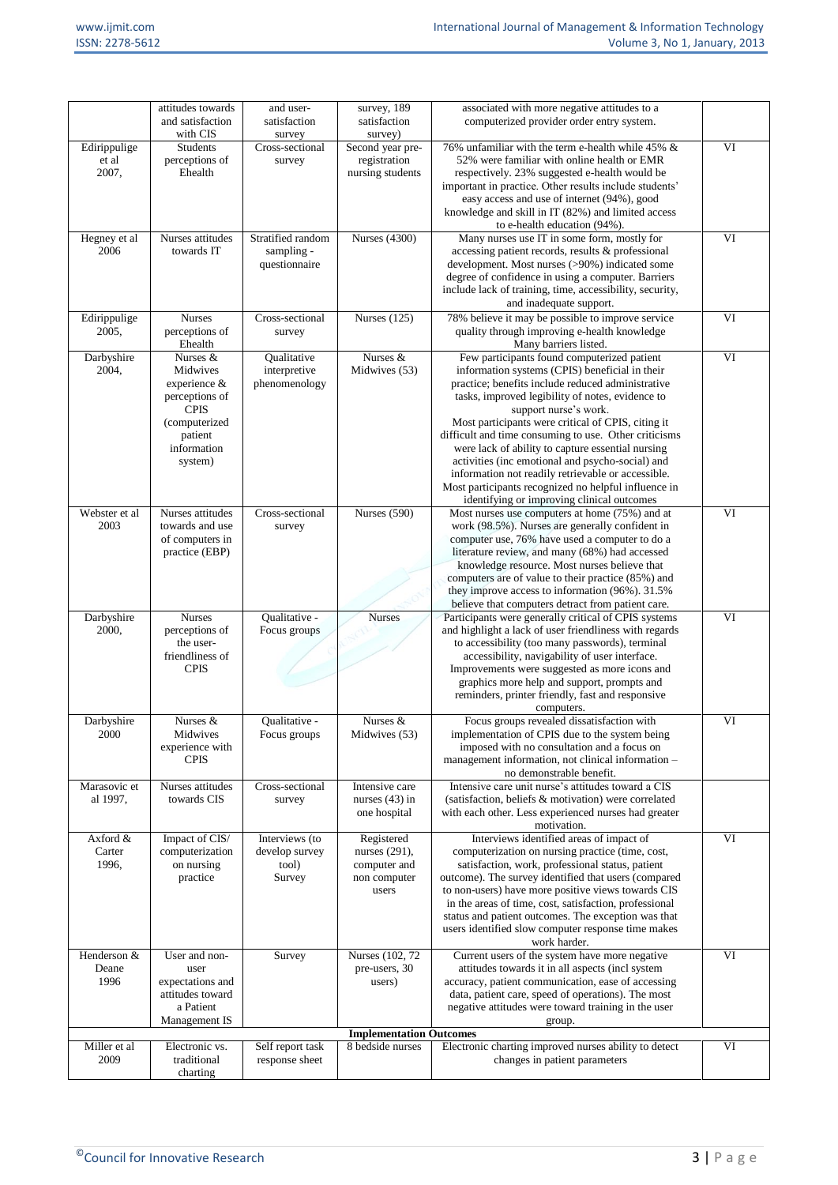|                                                | attitudes towards<br>and satisfaction                                                             | and user-<br>satisfaction                                  | survey, 189<br>satisfaction                                          | associated with more negative attitudes to a<br>computerized provider order entry system.                                                                                                                                                                                                                                                                                                                                                             |    |
|------------------------------------------------|---------------------------------------------------------------------------------------------------|------------------------------------------------------------|----------------------------------------------------------------------|-------------------------------------------------------------------------------------------------------------------------------------------------------------------------------------------------------------------------------------------------------------------------------------------------------------------------------------------------------------------------------------------------------------------------------------------------------|----|
|                                                | with CIS                                                                                          | survey                                                     | survey)                                                              |                                                                                                                                                                                                                                                                                                                                                                                                                                                       |    |
| Edirippulige<br>et al<br>2007,                 | Students<br>perceptions of<br>Ehealth                                                             | Cross-sectional<br>survey                                  | Second year pre-<br>registration<br>nursing students                 | 76% unfamiliar with the term e-health while 45% &<br>52% were familiar with online health or EMR<br>respectively. 23% suggested e-health would be<br>important in practice. Other results include students'<br>easy access and use of internet (94%), good                                                                                                                                                                                            | VI |
|                                                |                                                                                                   |                                                            |                                                                      | knowledge and skill in IT (82%) and limited access<br>to e-health education (94%).                                                                                                                                                                                                                                                                                                                                                                    |    |
| Hegney et al<br>2006                           | Nurses attitudes<br>towards IT                                                                    | Stratified random<br>sampling -<br>questionnaire           | <b>Nurses</b> (4300)                                                 | Many nurses use IT in some form, mostly for<br>accessing patient records, results & professional<br>development. Most nurses (>90%) indicated some<br>degree of confidence in using a computer. Barriers<br>include lack of training, time, accessibility, security,<br>and inadequate support.                                                                                                                                                       | VI |
| Edirippulige<br>2005,                          | <b>Nurses</b><br>perceptions of<br>Ehealth                                                        | Cross-sectional<br>survey                                  | Nurses (125)                                                         | 78% believe it may be possible to improve service<br>quality through improving e-health knowledge<br>Many barriers listed.                                                                                                                                                                                                                                                                                                                            | VI |
| Darbyshire<br>2004,                            | Nurses &<br>Midwives<br>experience &<br>perceptions of<br><b>CPIS</b><br>(computerized<br>patient | Qualitative<br>interpretive<br>phenomenology               | Nurses &<br>Midwives (53)                                            | Few participants found computerized patient<br>information systems (CPIS) beneficial in their<br>practice; benefits include reduced administrative<br>tasks, improved legibility of notes, evidence to<br>support nurse's work.<br>Most participants were critical of CPIS, citing it<br>difficult and time consuming to use. Other criticisms                                                                                                        | VI |
|                                                | information<br>system)                                                                            |                                                            |                                                                      | were lack of ability to capture essential nursing<br>activities (inc emotional and psycho-social) and<br>information not readily retrievable or accessible.<br>Most participants recognized no helpful influence in<br>identifying or improving clinical outcomes                                                                                                                                                                                     |    |
| Webster et al<br>2003                          | Nurses attitudes<br>towards and use<br>of computers in<br>practice (EBP)                          | Cross-sectional<br>survey                                  | Nurses (590)                                                         | Most nurses use computers at home (75%) and at<br>work (98.5%). Nurses are generally confident in<br>computer use, 76% have used a computer to do a<br>literature review, and many (68%) had accessed<br>knowledge resource. Most nurses believe that<br>computers are of value to their practice (85%) and                                                                                                                                           | VI |
|                                                |                                                                                                   |                                                            |                                                                      | they improve access to information (96%). 31.5%<br>believe that computers detract from patient care.                                                                                                                                                                                                                                                                                                                                                  |    |
| Darbyshire<br>2000,                            | <b>Nurses</b><br>perceptions of<br>the user-<br>friendliness of<br><b>CPIS</b>                    | Qualitative -<br>Focus groups                              | <b>Nurses</b>                                                        | Participants were generally critical of CPIS systems<br>and highlight a lack of user friendliness with regards<br>to accessibility (too many passwords), terminal<br>accessibility, navigability of user interface.<br>Improvements were suggested as more icons and<br>graphics more help and support, prompts and<br>reminders, printer friendly, fast and responsive                                                                               | VI |
|                                                |                                                                                                   |                                                            |                                                                      | computers.                                                                                                                                                                                                                                                                                                                                                                                                                                            |    |
| Darbyshire<br>2000<br>Marasovic et<br>al 1997, | Nurses &<br>Midwives<br>experience with<br><b>CPIS</b><br>Nurses attitudes<br>towards CIS         | Qualitative -<br>Focus groups<br>Cross-sectional<br>survey | Nurses &<br>Midwives (53)<br>Intensive care<br>nurses $(43)$ in      | Focus groups revealed dissatisfaction with<br>implementation of CPIS due to the system being<br>imposed with no consultation and a focus on<br>management information, not clinical information -<br>no demonstrable benefit.<br>Intensive care unit nurse's attitudes toward a CIS<br>(satisfaction, beliefs & motivation) were correlated                                                                                                           | VI |
|                                                |                                                                                                   |                                                            | one hospital                                                         | with each other. Less experienced nurses had greater<br>motivation.                                                                                                                                                                                                                                                                                                                                                                                   |    |
| Axford &<br>Carter<br>1996,                    | Impact of CIS/<br>computerization<br>on nursing<br>practice                                       | Interviews (to<br>develop survey<br>tool)<br>Survey        | Registered<br>nurses (291),<br>computer and<br>non computer<br>users | Interviews identified areas of impact of<br>computerization on nursing practice (time, cost,<br>satisfaction, work, professional status, patient<br>outcome). The survey identified that users (compared<br>to non-users) have more positive views towards CIS<br>in the areas of time, cost, satisfaction, professional<br>status and patient outcomes. The exception was that<br>users identified slow computer response time makes<br>work harder. | VI |
| Henderson &<br>Deane<br>1996                   | User and non-<br>user<br>expectations and<br>attitudes toward<br>a Patient<br>Management IS       | Survey                                                     | Nurses (102, 72)<br>pre-users, 30<br>users)                          | Current users of the system have more negative<br>attitudes towards it in all aspects (incl system<br>accuracy, patient communication, ease of accessing<br>data, patient care, speed of operations). The most<br>negative attitudes were toward training in the user<br>group.                                                                                                                                                                       | VI |
|                                                |                                                                                                   |                                                            | <b>Implementation Outcomes</b>                                       |                                                                                                                                                                                                                                                                                                                                                                                                                                                       |    |
| Miller et al<br>2009                           | Electronic vs.<br>traditional<br>charting                                                         | Self report task<br>response sheet                         | 8 bedside nurses                                                     | Electronic charting improved nurses ability to detect<br>changes in patient parameters                                                                                                                                                                                                                                                                                                                                                                | VI |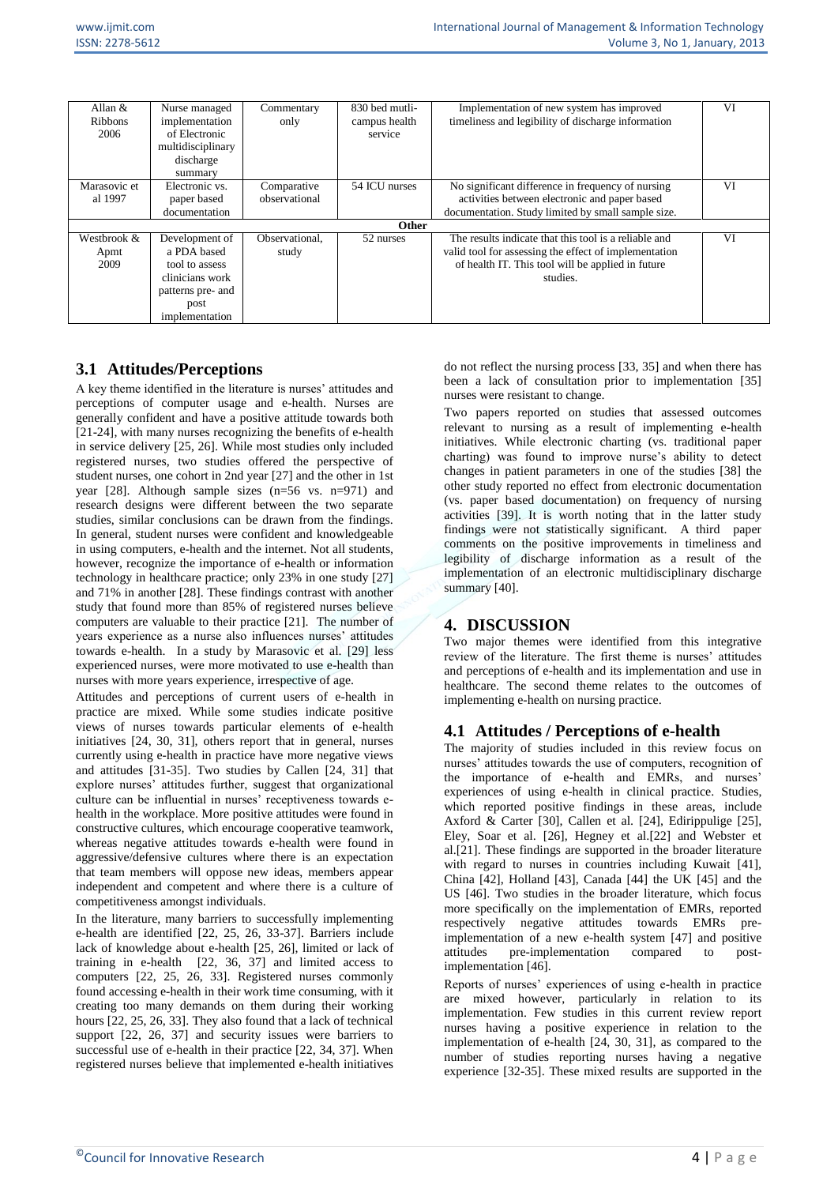| Allan $&$<br><b>Ribbons</b><br>2006 | Nurse managed<br>implementation<br>of Electronic<br>multidisciplinary<br>discharge<br>summary | Commentary<br>only | 830 bed mutli-<br>campus health<br>service | Implementation of new system has improved<br>timeliness and legibility of discharge information            | VI |  |  |
|-------------------------------------|-----------------------------------------------------------------------------------------------|--------------------|--------------------------------------------|------------------------------------------------------------------------------------------------------------|----|--|--|
| Marasovic et                        | Electronic vs.                                                                                | Comparative        | 54 ICU nurses                              | No significant difference in frequency of nursing                                                          | VI |  |  |
| al 1997                             | paper based                                                                                   | observational      |                                            | activities between electronic and paper based                                                              |    |  |  |
|                                     | documentation                                                                                 |                    |                                            | documentation. Study limited by small sample size.                                                         |    |  |  |
|                                     | <b>Other</b>                                                                                  |                    |                                            |                                                                                                            |    |  |  |
| Westbrook &                         | Development of<br>a PDA based                                                                 | Observational.     | 52 nurses                                  | The results indicate that this tool is a reliable and                                                      | VI |  |  |
| Apmt<br>2009                        | tool to assess                                                                                | study              |                                            | valid tool for assessing the effect of implementation<br>of health IT. This tool will be applied in future |    |  |  |
|                                     | clinicians work                                                                               |                    |                                            |                                                                                                            |    |  |  |
|                                     |                                                                                               |                    |                                            | studies.                                                                                                   |    |  |  |
|                                     | patterns pre- and                                                                             |                    |                                            |                                                                                                            |    |  |  |
|                                     | post                                                                                          |                    |                                            |                                                                                                            |    |  |  |
|                                     | implementation                                                                                |                    |                                            |                                                                                                            |    |  |  |

# **3.1 Attitudes/Perceptions**

A key theme identified in the literature is nurses' attitudes and perceptions of computer usage and e-health. Nurses are generally confident and have a positive attitude towards both [21-24], with many nurses recognizing the benefits of e-health in service delivery [25, 26]. While most studies only included registered nurses, two studies offered the perspective of student nurses, one cohort in 2nd year [27] and the other in 1st year [28]. Although sample sizes (n=56 vs. n=971) and research designs were different between the two separate studies, similar conclusions can be drawn from the findings. In general, student nurses were confident and knowledgeable in using computers, e-health and the internet. Not all students, however, recognize the importance of e-health or information technology in healthcare practice; only 23% in one study [27] and 71% in another [28]. These findings contrast with another study that found more than 85% of registered nurses believe computers are valuable to their practice [21]. The number of years experience as a nurse also influences nurses' attitudes towards e-health. In a study by Marasovic et al. [29] less experienced nurses, were more motivated to use e-health than nurses with more years experience, irrespective of age.

Attitudes and perceptions of current users of e-health in practice are mixed. While some studies indicate positive views of nurses towards particular elements of e-health initiatives [24, 30, 31], others report that in general, nurses currently using e-health in practice have more negative views and attitudes [31-35]. Two studies by Callen [24, 31] that explore nurses' attitudes further, suggest that organizational culture can be influential in nurses' receptiveness towards ehealth in the workplace. More positive attitudes were found in constructive cultures, which encourage cooperative teamwork, whereas negative attitudes towards e-health were found in aggressive/defensive cultures where there is an expectation that team members will oppose new ideas, members appear independent and competent and where there is a culture of competitiveness amongst individuals.

In the literature, many barriers to successfully implementing e-health are identified [22, 25, 26, 33-37]. Barriers include lack of knowledge about e-health [25, 26], limited or lack of training in e-health [22, 36, 37] and limited access to computers [22, 25, 26, 33]. Registered nurses commonly found accessing e-health in their work time consuming, with it creating too many demands on them during their working hours [22, 25, 26, 33]. They also found that a lack of technical support [22, 26, 37] and security issues were barriers to successful use of e-health in their practice [22, 34, 37]. When registered nurses believe that implemented e-health initiatives do not reflect the nursing process [33, 35] and when there has been a lack of consultation prior to implementation [35] nurses were resistant to change.

Two papers reported on studies that assessed outcomes relevant to nursing as a result of implementing e-health initiatives. While electronic charting (vs. traditional paper charting) was found to improve nurse's ability to detect changes in patient parameters in one of the studies [38] the other study reported no effect from electronic documentation (vs. paper based documentation) on frequency of nursing activities [39]. It is worth noting that in the latter study findings were not statistically significant. A third paper comments on the positive improvements in timeliness and legibility of discharge information as a result of the implementation of an electronic multidisciplinary discharge summary [40].

# **4. DISCUSSION**

Two major themes were identified from this integrative review of the literature. The first theme is nurses' attitudes and perceptions of e-health and its implementation and use in healthcare. The second theme relates to the outcomes of implementing e-health on nursing practice.

# **4.1 Attitudes / Perceptions of e-health**

The majority of studies included in this review focus on nurses' attitudes towards the use of computers, recognition of the importance of e-health and EMRs, and nurses' experiences of using e-health in clinical practice. Studies, which reported positive findings in these areas, include Axford & Carter [30], Callen et al. [24], Edirippulige [25], Eley, Soar et al. [26], Hegney et al.[22] and Webster et al.[21]. These findings are supported in the broader literature with regard to nurses in countries including Kuwait [41], China [42], Holland [43], Canada [44] the UK [45] and the US [46]. Two studies in the broader literature, which focus more specifically on the implementation of EMRs, reported respectively negative attitudes towards EMRs preimplementation of a new e-health system [47] and positive attitudes pre-implementation compared to postimplementation [46].

Reports of nurses' experiences of using e-health in practice are mixed however, particularly in relation to its implementation. Few studies in this current review report nurses having a positive experience in relation to the implementation of e-health [24, 30, 31], as compared to the number of studies reporting nurses having a negative experience [32-35]. These mixed results are supported in the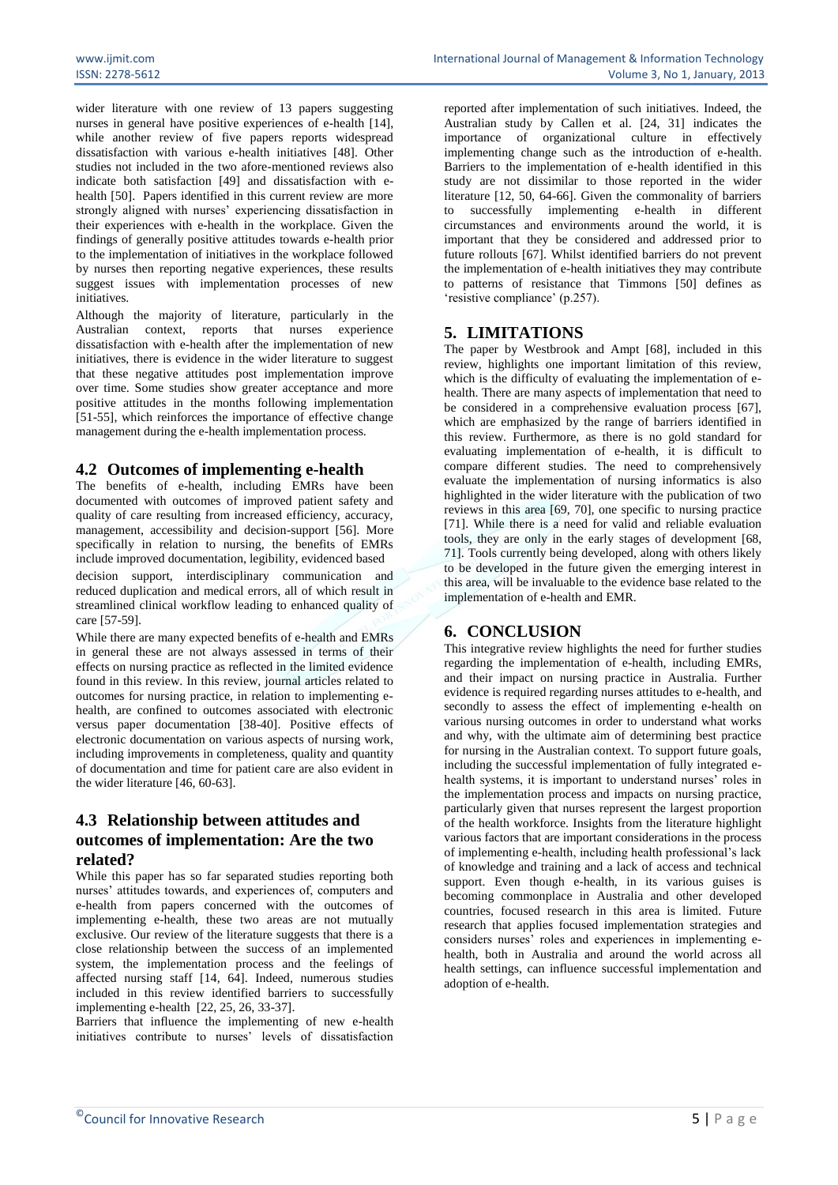wider literature with one review of 13 papers suggesting nurses in general have positive experiences of e-health [14], while another review of five papers reports widespread dissatisfaction with various e-health initiatives [48]. Other studies not included in the two afore-mentioned reviews also indicate both satisfaction [49] and dissatisfaction with ehealth [50]. Papers identified in this current review are more strongly aligned with nurses' experiencing dissatisfaction in their experiences with e-health in the workplace. Given the findings of generally positive attitudes towards e-health prior to the implementation of initiatives in the workplace followed by nurses then reporting negative experiences, these results

initiatives. Although the majority of literature, particularly in the Australian context, reports that nurses experience dissatisfaction with e-health after the implementation of new initiatives, there is evidence in the wider literature to suggest that these negative attitudes post implementation improve over time. Some studies show greater acceptance and more positive attitudes in the months following implementation [51-55], which reinforces the importance of effective change management during the e-health implementation process.

suggest issues with implementation processes of new

## **4.2 Outcomes of implementing e-health**

The benefits of e-health, including EMRs have been documented with outcomes of improved patient safety and quality of care resulting from increased efficiency, accuracy, management, accessibility and decision-support [56]. More specifically in relation to nursing, the benefits of EMRs include improved documentation, legibility, evidenced based decision support, interdisciplinary communication and reduced duplication and medical errors, all of which result in streamlined clinical workflow leading to enhanced quality of care [57-59].

While there are many expected benefits of e-health and EMRs in general these are not always assessed in terms of their effects on nursing practice as reflected in the limited evidence found in this review. In this review, journal articles related to outcomes for nursing practice, in relation to implementing ehealth, are confined to outcomes associated with electronic versus paper documentation [38-40]. Positive effects of electronic documentation on various aspects of nursing work, including improvements in completeness, quality and quantity of documentation and time for patient care are also evident in the wider literature [46, 60-63].

# **4.3 Relationship between attitudes and outcomes of implementation: Are the two related?**

While this paper has so far separated studies reporting both nurses' attitudes towards, and experiences of, computers and e-health from papers concerned with the outcomes of implementing e-health, these two areas are not mutually exclusive. Our review of the literature suggests that there is a close relationship between the success of an implemented system, the implementation process and the feelings of affected nursing staff [14, 64]. Indeed, numerous studies included in this review identified barriers to successfully implementing e-health [22, 25, 26, 33-37].

Barriers that influence the implementing of new e-health initiatives contribute to nurses' levels of dissatisfaction

reported after implementation of such initiatives. Indeed, the Australian study by Callen et al. [24, 31] indicates the importance of organizational culture in effectively implementing change such as the introduction of e-health. Barriers to the implementation of e-health identified in this study are not dissimilar to those reported in the wider literature [12, 50, 64-66]. Given the commonality of barriers to successfully implementing e-health in different circumstances and environments around the world, it is important that they be considered and addressed prior to future rollouts [67]. Whilst identified barriers do not prevent the implementation of e-health initiatives they may contribute to patterns of resistance that Timmons [50] defines as 'resistive compliance' (p.257).

# **5. LIMITATIONS**

The paper by Westbrook and Ampt [68], included in this review, highlights one important limitation of this review, which is the difficulty of evaluating the implementation of ehealth. There are many aspects of implementation that need to be considered in a comprehensive evaluation process [67]. which are emphasized by the range of barriers identified in this review. Furthermore, as there is no gold standard for evaluating implementation of e-health, it is difficult to compare different studies. The need to comprehensively evaluate the implementation of nursing informatics is also highlighted in the wider literature with the publication of two reviews in this area [69, 70], one specific to nursing practice [71]. While there is a need for valid and reliable evaluation tools, they are only in the early stages of development [68, 71]. Tools currently being developed, along with others likely to be developed in the future given the emerging interest in this area, will be invaluable to the evidence base related to the implementation of e-health and EMR.

## **6. CONCLUSION**

This integrative review highlights the need for further studies regarding the implementation of e-health, including EMRs, and their impact on nursing practice in Australia. Further evidence is required regarding nurses attitudes to e-health, and secondly to assess the effect of implementing e-health on various nursing outcomes in order to understand what works and why, with the ultimate aim of determining best practice for nursing in the Australian context. To support future goals, including the successful implementation of fully integrated ehealth systems, it is important to understand nurses' roles in the implementation process and impacts on nursing practice, particularly given that nurses represent the largest proportion of the health workforce. Insights from the literature highlight various factors that are important considerations in the process of implementing e-health, including health professional's lack of knowledge and training and a lack of access and technical support. Even though e-health, in its various guises is becoming commonplace in Australia and other developed countries, focused research in this area is limited. Future research that applies focused implementation strategies and considers nurses' roles and experiences in implementing ehealth, both in Australia and around the world across all health settings, can influence successful implementation and adoption of e-health.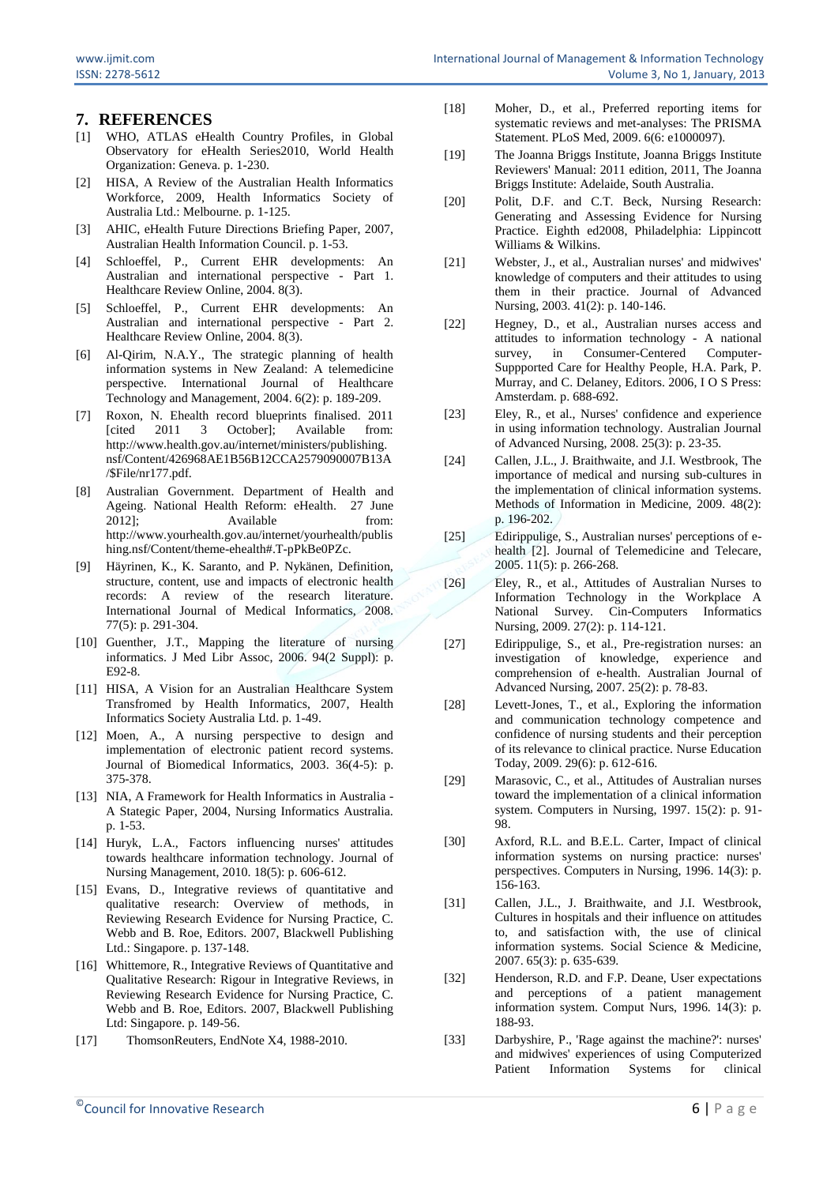### **7. REFERENCES**

- [1] WHO, ATLAS eHealth Country Profiles, in Global Observatory for eHealth Series2010, World Health Organization: Geneva. p. 1-230.
- [2] HISA, A Review of the Australian Health Informatics Workforce, 2009, Health Informatics Society of Australia Ltd.: Melbourne. p. 1-125.
- [3] AHIC, eHealth Future Directions Briefing Paper, 2007, Australian Health Information Council. p. 1-53.
- [4] Schloeffel, P., Current EHR developments: An Australian and international perspective - Part 1. Healthcare Review Online, 2004. 8(3).
- [5] Schloeffel, P., Current EHR developments: An Australian and international perspective - Part 2. Healthcare Review Online, 2004. 8(3).
- [6] Al-Qirim, N.A.Y., The strategic planning of health information systems in New Zealand: A telemedicine perspective. International Journal of Healthcare Technology and Management, 2004. 6(2): p. 189-209.
- [7] Roxon, N. Ehealth record blueprints finalised. 2011 [cited 2011 3 October]; Available from: http://www.health.gov.au/internet/ministers/publishing. nsf/Content/426968AE1B56B12CCA2579090007B13A /\$File/nr177.pdf.
- [8] Australian Government. Department of Health and Ageing. National Health Reform: eHealth. 27 June 2012]; Available from: http://www.yourhealth.gov.au/internet/yourhealth/publis hing.nsf/Content/theme-ehealth#.T-pPkBe0PZc.
- [9] Häyrinen, K., K. Saranto, and P. Nykänen, Definition, structure, content, use and impacts of electronic health records: A review of the research literature. International Journal of Medical Informatics, 2008. 77(5): p. 291-304.
- [10] Guenther, J.T., Mapping the literature of nursing informatics. J Med Libr Assoc, 2006. 94(2 Suppl): p. E92-8.
- [11] HISA, A Vision for an Australian Healthcare System Transfromed by Health Informatics, 2007, Health Informatics Society Australia Ltd. p. 1-49.
- [12] Moen, A., A nursing perspective to design and implementation of electronic patient record systems. Journal of Biomedical Informatics, 2003. 36(4-5): p. 375-378.
- [13] NIA, A Framework for Health Informatics in Australia -A Stategic Paper, 2004, Nursing Informatics Australia. p. 1-53.
- [14] Huryk, L.A., Factors influencing nurses' attitudes towards healthcare information technology. Journal of Nursing Management, 2010. 18(5): p. 606-612.
- [15] Evans, D., Integrative reviews of quantitative and qualitative research: Overview of methods, in Reviewing Research Evidence for Nursing Practice, C. Webb and B. Roe, Editors. 2007, Blackwell Publishing Ltd.: Singapore. p. 137-148.
- [16] Whittemore, R., Integrative Reviews of Quantitative and Qualitative Research: Rigour in Integrative Reviews, in Reviewing Research Evidence for Nursing Practice, C. Webb and B. Roe, Editors. 2007, Blackwell Publishing Ltd: Singapore. p. 149-56.
- [17] ThomsonReuters, EndNote X4, 1988-2010.
- [18] Moher, D., et al., Preferred reporting items for systematic reviews and met-analyses: The PRISMA Statement. PLoS Med, 2009. 6(6: e1000097).
- [19] The Joanna Briggs Institute, Joanna Briggs Institute Reviewers' Manual: 2011 edition, 2011, The Joanna Briggs Institute: Adelaide, South Australia.
- [20] Polit, D.F. and C.T. Beck, Nursing Research: Generating and Assessing Evidence for Nursing Practice. Eighth ed2008, Philadelphia: Lippincott Williams & Wilkins.
- [21] Webster, J., et al., Australian nurses' and midwives' knowledge of computers and their attitudes to using them in their practice. Journal of Advanced Nursing, 2003. 41(2): p. 140-146.
- [22] Hegney, D., et al., Australian nurses access and attitudes to information technology - A national survey, in Consumer-Centered Computer-Suppported Care for Healthy People, H.A. Park, P. Murray, and C. Delaney, Editors. 2006, I O S Press: Amsterdam. p. 688-692.
- [23] Eley, R., et al., Nurses' confidence and experience in using information technology. Australian Journal of Advanced Nursing, 2008. 25(3): p. 23-35.
- [24] Callen, J.L., J. Braithwaite, and J.I. Westbrook, The importance of medical and nursing sub-cultures in the implementation of clinical information systems. Methods of Information in Medicine, 2009. 48(2): p. 196-202.
- [25] Edirippulige, S., Australian nurses' perceptions of ehealth <sup>[2]</sup>. Journal of Telemedicine and Telecare, 2005. 11(5): p. 266-268.
- [26] Eley, R., et al., Attitudes of Australian Nurses to Information Technology in the Workplace A National Survey. Cin-Computers Informatics Nursing, 2009. 27(2): p. 114-121.
- [27] Edirippulige, S., et al., Pre-registration nurses: an investigation of knowledge, experience and comprehension of e-health. Australian Journal of Advanced Nursing, 2007. 25(2): p. 78-83.
- [28] Levett-Jones, T., et al., Exploring the information and communication technology competence and confidence of nursing students and their perception of its relevance to clinical practice. Nurse Education Today, 2009. 29(6): p. 612-616.
- [29] Marasovic, C., et al., Attitudes of Australian nurses toward the implementation of a clinical information system. Computers in Nursing, 1997. 15(2): p. 91- 98.
- [30] Axford, R.L. and B.E.L. Carter, Impact of clinical information systems on nursing practice: nurses' perspectives. Computers in Nursing, 1996. 14(3): p. 156-163.
- [31] Callen, J.L., J. Braithwaite, and J.I. Westbrook, Cultures in hospitals and their influence on attitudes to, and satisfaction with, the use of clinical information systems. Social Science & Medicine, 2007. 65(3): p. 635-639.
- [32] Henderson, R.D. and F.P. Deane, User expectations and perceptions of a patient management information system. Comput Nurs, 1996. 14(3): p. 188-93.
- [33] Darbyshire, P., 'Rage against the machine?': nurses' and midwives' experiences of using Computerized Patient Information Systems for clinical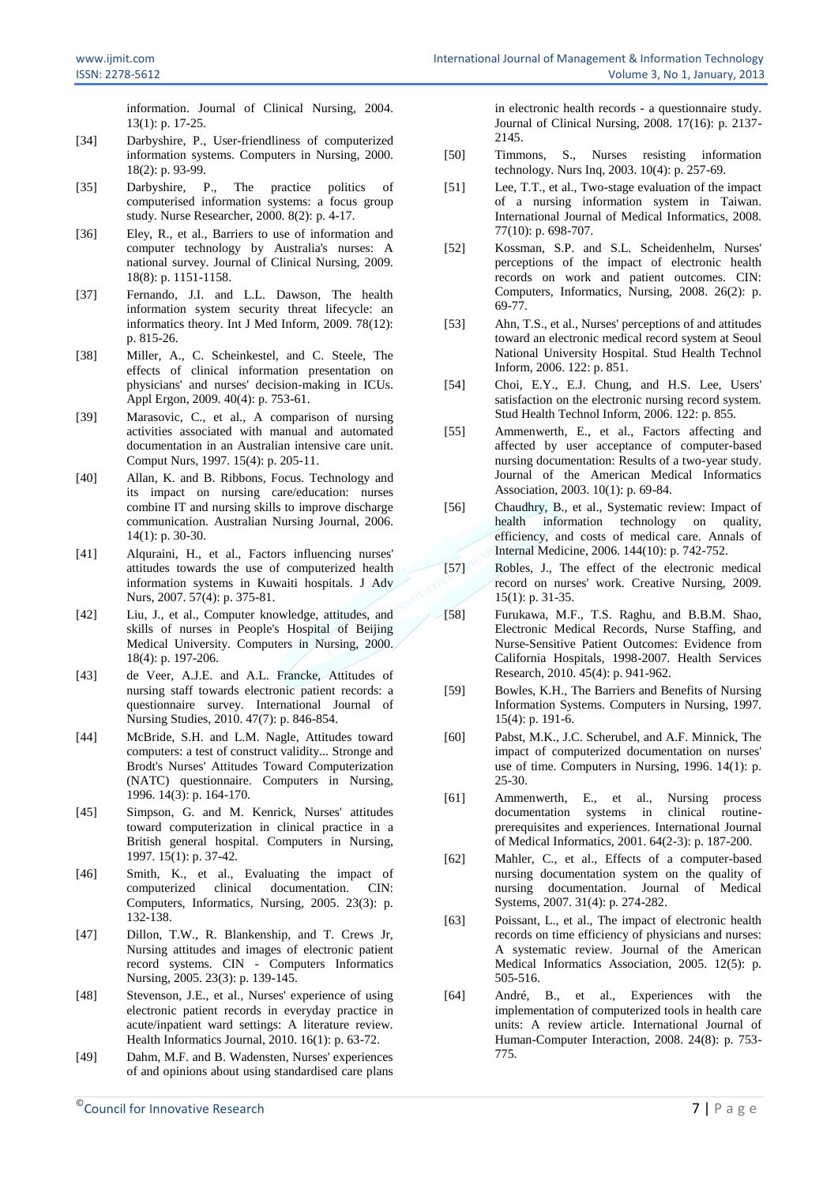information. Journal of Clinical Nursing, 2004. 13(1): p. 17-25.

- [34] Darbyshire, P., User-friendliness of computerized information systems. Computers in Nursing, 2000. 18(2): p. 93-99.
- [35] Darbyshire, P., The practice politics of computerised information systems: a focus group study. Nurse Researcher, 2000. 8(2): p. 4-17.
- [36] Eley, R., et al., Barriers to use of information and computer technology by Australia's nurses: A national survey. Journal of Clinical Nursing, 2009. 18(8): p. 1151-1158.
- [37] Fernando, J.I. and L.L. Dawson, The health information system security threat lifecycle: an informatics theory. Int J Med Inform, 2009. 78(12): p. 815-26.
- [38] Miller, A., C. Scheinkestel, and C. Steele, The effects of clinical information presentation on physicians' and nurses' decision-making in ICUs. Appl Ergon, 2009. 40(4): p. 753-61.
- [39] Marasovic, C., et al., A comparison of nursing activities associated with manual and automated documentation in an Australian intensive care unit. Comput Nurs, 1997. 15(4): p. 205-11.
- [40] Allan, K. and B. Ribbons, Focus. Technology and its impact on nursing care/education: nurses combine IT and nursing skills to improve discharge communication. Australian Nursing Journal, 2006. 14(1): p. 30-30.
- [41] Alquraini, H., et al., Factors influencing nurses' attitudes towards the use of computerized health information systems in Kuwaiti hospitals. J Adv Nurs, 2007. 57(4): p. 375-81.
- [42] Liu, J., et al., Computer knowledge, attitudes, and skills of nurses in People's Hospital of Beijing Medical University. Computers in Nursing, 2000. 18(4): p. 197-206.
- [43] de Veer, A.J.E. and A.L. Francke, Attitudes of nursing staff towards electronic patient records: a questionnaire survey. International Journal of Nursing Studies, 2010. 47(7): p. 846-854.
- [44] McBride, S.H. and L.M. Nagle, Attitudes toward computers: a test of construct validity... Stronge and Brodt's Nurses' Attitudes Toward Computerization (NATC) questionnaire. Computers in Nursing, 1996. 14(3): p. 164-170.
- [45] Simpson, G. and M. Kenrick, Nurses' attitudes toward computerization in clinical practice in a British general hospital. Computers in Nursing, 1997. 15(1): p. 37-42.
- [46] Smith, K., et al., Evaluating the impact of computerized clinical documentation. CIN: Computers, Informatics, Nursing, 2005. 23(3): p. 132-138.
- [47] Dillon, T.W., R. Blankenship, and T. Crews Jr, Nursing attitudes and images of electronic patient record systems. CIN - Computers Informatics Nursing, 2005. 23(3): p. 139-145.
- [48] Stevenson, J.E., et al., Nurses' experience of using electronic patient records in everyday practice in acute/inpatient ward settings: A literature review. Health Informatics Journal, 2010. 16(1): p. 63-72.
- [49] Dahm, M.F. and B. Wadensten, Nurses' experiences of and opinions about using standardised care plans

 $^{\circ}$ Council for Innovative Research  $^{\circ}$  7 | P a g e

in electronic health records - a questionnaire study. Journal of Clinical Nursing, 2008. 17(16): p. 2137- 2145.

- [50] Timmons, S., Nurses resisting information technology. Nurs Inq, 2003. 10(4): p. 257-69.
- [51] Lee, T.T., et al., Two-stage evaluation of the impact of a nursing information system in Taiwan. International Journal of Medical Informatics, 2008. 77(10): p. 698-707.
- [52] Kossman, S.P. and S.L. Scheidenhelm, Nurses' perceptions of the impact of electronic health records on work and patient outcomes. CIN: Computers, Informatics, Nursing, 2008. 26(2): p. 69-77.
- [53] Ahn, T.S., et al., Nurses' perceptions of and attitudes toward an electronic medical record system at Seoul National University Hospital. Stud Health Technol Inform, 2006. 122: p. 851.
- [54] Choi, E.Y., E.J. Chung, and H.S. Lee, Users' satisfaction on the electronic nursing record system. Stud Health Technol Inform, 2006. 122: p. 855.
- [55] Ammenwerth, E., et al., Factors affecting and affected by user acceptance of computer-based nursing documentation: Results of a two-year study. Journal of the American Medical Informatics Association, 2003. 10(1): p. 69-84.
- [56] Chaudhry, B., et al., Systematic review: Impact of health information technology on quality, efficiency, and costs of medical care. Annals of Internal Medicine, 2006. 144(10): p. 742-752.
- [57] Robles, J., The effect of the electronic medical record on nurses' work. Creative Nursing, 2009. 15(1): p. 31-35.
- [58] Furukawa, M.F., T.S. Raghu, and B.B.M. Shao, Electronic Medical Records, Nurse Staffing, and Nurse-Sensitive Patient Outcomes: Evidence from California Hospitals, 1998-2007. Health Services Research, 2010. 45(4): p. 941-962.
- [59] Bowles, K.H., The Barriers and Benefits of Nursing Information Systems. Computers in Nursing, 1997. 15(4): p. 191-6.
- [60] Pabst, M.K., J.C. Scherubel, and A.F. Minnick, The impact of computerized documentation on nurses' use of time. Computers in Nursing, 1996. 14(1): p. 25-30.
- [61] Ammenwerth, E., et al., Nursing process documentation systems in clinical routineprerequisites and experiences. International Journal of Medical Informatics, 2001. 64(2-3): p. 187-200.
- [62] Mahler, C., et al., Effects of a computer-based nursing documentation system on the quality of nursing documentation. Journal of Medical Systems, 2007. 31(4): p. 274-282.
- [63] Poissant, L., et al., The impact of electronic health records on time efficiency of physicians and nurses: A systematic review. Journal of the American Medical Informatics Association, 2005. 12(5): p. 505-516.
- [64] André, B., et al., Experiences with the implementation of computerized tools in health care units: A review article. International Journal of Human-Computer Interaction, 2008. 24(8): p. 753- 775.